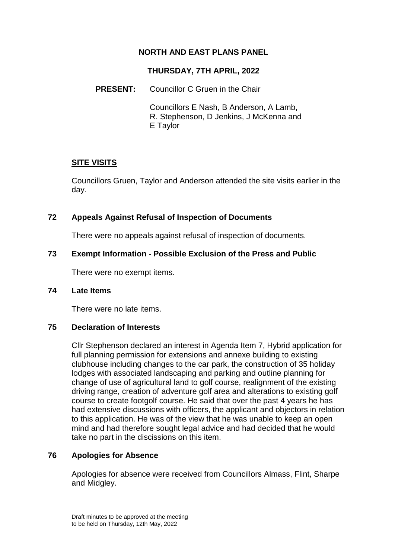# **NORTH AND EAST PLANS PANEL**

### **THURSDAY, 7TH APRIL, 2022**

### **PRESENT:** Councillor C Gruen in the Chair

Councillors E Nash, B Anderson, A Lamb, R. Stephenson, D Jenkins, J McKenna and E Taylor

## **SITE VISITS**

Councillors Gruen, Taylor and Anderson attended the site visits earlier in the day.

## **72 Appeals Against Refusal of Inspection of Documents**

There were no appeals against refusal of inspection of documents.

## **73 Exempt Information - Possible Exclusion of the Press and Public**

There were no exempt items.

#### **74 Late Items**

There were no late items.

#### **75 Declaration of Interests**

Cllr Stephenson declared an interest in Agenda Item 7, Hybrid application for full planning permission for extensions and annexe building to existing clubhouse including changes to the car park, the construction of 35 holiday lodges with associated landscaping and parking and outline planning for change of use of agricultural land to golf course, realignment of the existing driving range, creation of adventure golf area and alterations to existing golf course to create footgolf course. He said that over the past 4 years he has had extensive discussions with officers, the applicant and objectors in relation to this application. He was of the view that he was unable to keep an open mind and had therefore sought legal advice and had decided that he would take no part in the discissions on this item.

## **76 Apologies for Absence**

Apologies for absence were received from Councillors Almass, Flint, Sharpe and Midgley.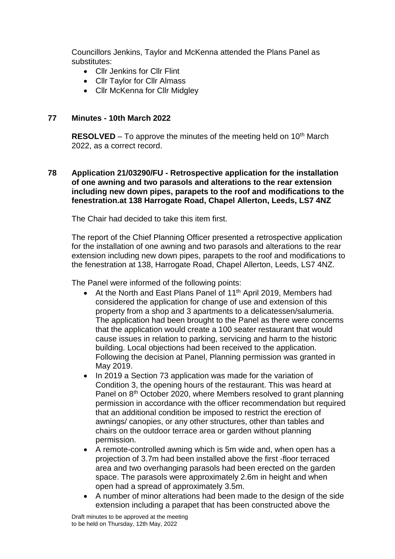Councillors Jenkins, Taylor and McKenna attended the Plans Panel as substitutes:

- Cllr Jenkins for Cllr Flint
- Cllr Taylor for Cllr Almass
- Cllr McKenna for Cllr Midgley

#### **77 Minutes - 10th March 2022**

**RESOLVED** – To approve the minutes of the meeting held on 10<sup>th</sup> March 2022, as a correct record.

**78 Application 21/03290/FU - Retrospective application for the installation of one awning and two parasols and alterations to the rear extension including new down pipes, parapets to the roof and modifications to the fenestration.at 138 Harrogate Road, Chapel Allerton, Leeds, LS7 4NZ**

The Chair had decided to take this item first.

The report of the Chief Planning Officer presented a retrospective application for the installation of one awning and two parasols and alterations to the rear extension including new down pipes, parapets to the roof and modifications to the fenestration at 138, Harrogate Road, Chapel Allerton, Leeds, LS7 4NZ.

The Panel were informed of the following points:

- At the North and East Plans Panel of 11<sup>th</sup> April 2019, Members had considered the application for change of use and extension of this property from a shop and 3 apartments to a delicatessen/salumeria. The application had been brought to the Panel as there were concerns that the application would create a 100 seater restaurant that would cause issues in relation to parking, servicing and harm to the historic building. Local objections had been received to the application. Following the decision at Panel, Planning permission was granted in May 2019.
- In 2019 a Section 73 application was made for the variation of Condition 3, the opening hours of the restaurant. This was heard at Panel on 8<sup>th</sup> October 2020, where Members resolved to grant planning permission in accordance with the officer recommendation but required that an additional condition be imposed to restrict the erection of awnings/ canopies, or any other structures, other than tables and chairs on the outdoor terrace area or garden without planning permission.
- A remote-controlled awning which is 5m wide and, when open has a projection of 3.7m had been installed above the first -floor terraced area and two overhanging parasols had been erected on the garden space. The parasols were approximately 2.6m in height and when open had a spread of approximately 3.5m.
- A number of minor alterations had been made to the design of the side extension including a parapet that has been constructed above the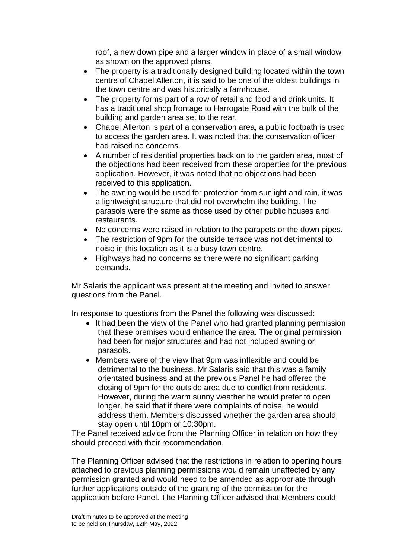roof, a new down pipe and a larger window in place of a small window as shown on the approved plans.

- The property is a traditionally designed building located within the town centre of Chapel Allerton, it is said to be one of the oldest buildings in the town centre and was historically a farmhouse.
- The property forms part of a row of retail and food and drink units. It has a traditional shop frontage to Harrogate Road with the bulk of the building and garden area set to the rear.
- Chapel Allerton is part of a conservation area, a public footpath is used to access the garden area. It was noted that the conservation officer had raised no concerns.
- A number of residential properties back on to the garden area, most of the objections had been received from these properties for the previous application. However, it was noted that no objections had been received to this application.
- The awning would be used for protection from sunlight and rain, it was a lightweight structure that did not overwhelm the building. The parasols were the same as those used by other public houses and restaurants.
- No concerns were raised in relation to the parapets or the down pipes.
- The restriction of 9pm for the outside terrace was not detrimental to noise in this location as it is a busy town centre.
- Highways had no concerns as there were no significant parking demands.

Mr Salaris the applicant was present at the meeting and invited to answer questions from the Panel.

In response to questions from the Panel the following was discussed:

- It had been the view of the Panel who had granted planning permission that these premises would enhance the area. The original permission had been for major structures and had not included awning or parasols.
- Members were of the view that 9pm was inflexible and could be detrimental to the business. Mr Salaris said that this was a family orientated business and at the previous Panel he had offered the closing of 9pm for the outside area due to conflict from residents. However, during the warm sunny weather he would prefer to open longer, he said that if there were complaints of noise, he would address them. Members discussed whether the garden area should stay open until 10pm or 10:30pm.

The Panel received advice from the Planning Officer in relation on how they should proceed with their recommendation.

The Planning Officer advised that the restrictions in relation to opening hours attached to previous planning permissions would remain unaffected by any permission granted and would need to be amended as appropriate through further applications outside of the granting of the permission for the application before Panel. The Planning Officer advised that Members could